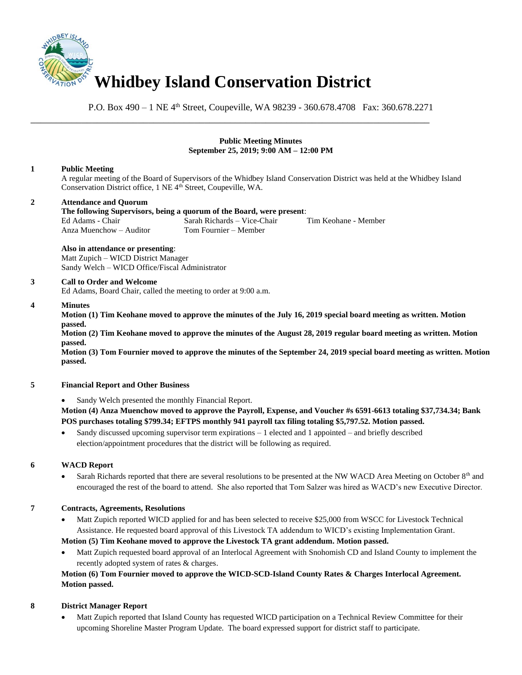

P.O. Box 490 – 1 NE 4<sup>th</sup> Street, Coupeville, WA 98239 - 360.678.4708 Fax: 360.678.2271

### **Public Meeting Minutes September 25, 2019; 9:00 AM – 12:00 PM**

### **1 Public Meeting**

A regular meeting of the Board of Supervisors of the Whidbey Island Conservation District was held at the Whidbey Island Conservation District office, 1 NE 4<sup>th</sup> Street, Coupeville, WA.

# **2 Attendance and Quorum**

#### **The following Supervisors, being a quorum of the Board, were present**: Ed Adams - Chair Sarah Richards – Vice-Chair Tim Keohane - Member<br>Anza Muenchow – Auditor Tom Fournier – Member Anza Muenchow – Auditor

\_\_\_\_\_\_\_\_\_\_\_\_\_\_\_\_\_\_\_\_\_\_\_\_\_\_\_\_\_\_\_\_\_\_\_\_\_\_\_\_\_\_\_\_\_\_\_\_\_\_\_\_\_\_\_\_\_\_\_\_\_\_\_\_\_\_\_\_\_\_\_\_\_\_\_\_\_\_

#### **Also in attendance or presenting**:

Matt Zupich – WICD District Manager Sandy Welch – WICD Office/Fiscal Administrator

### **3 Call to Order and Welcome**

Ed Adams, Board Chair, called the meeting to order at 9:00 a.m.

#### **4 Minutes**

**Motion (1) Tim Keohane moved to approve the minutes of the July 16, 2019 special board meeting as written. Motion passed.** 

**Motion (2) Tim Keohane moved to approve the minutes of the August 28, 2019 regular board meeting as written. Motion passed.**

**Motion (3) Tom Fournier moved to approve the minutes of the September 24, 2019 special board meeting as written. Motion passed.**

### **5 Financial Report and Other Business**

Sandy Welch presented the monthly Financial Report.

**Motion (4) Anza Muenchow moved to approve the Payroll, Expense, and Voucher #s 6591-6613 totaling \$37,734.34; Bank POS purchases totaling \$799.34; EFTPS monthly 941 payroll tax filing totaling \$5,797.52. Motion passed.** 

Sandy discussed upcoming supervisor term expirations  $-1$  elected and 1 appointed – and briefly described election/appointment procedures that the district will be following as required.

## **6 WACD Report**

Sarah Richards reported that there are several resolutions to be presented at the NW WACD Area Meeting on October 8<sup>th</sup> and encouraged the rest of the board to attend. She also reported that Tom Salzer was hired as WACD's new Executive Director.

# **7 Contracts, Agreements, Resolutions**

• Matt Zupich reported WICD applied for and has been selected to receive \$25,000 from WSCC for Livestock Technical Assistance. He requested board approval of this Livestock TA addendum to WICD's existing Implementation Grant.

## **Motion (5) Tim Keohane moved to approve the Livestock TA grant addendum. Motion passed.**

• Matt Zupich requested board approval of an Interlocal Agreement with Snohomish CD and Island County to implement the recently adopted system of rates & charges.

# **Motion (6) Tom Fournier moved to approve the WICD-SCD-Island County Rates & Charges Interlocal Agreement. Motion passed.**

## **8 District Manager Report**

• Matt Zupich reported that Island County has requested WICD participation on a Technical Review Committee for their upcoming Shoreline Master Program Update. The board expressed support for district staff to participate.